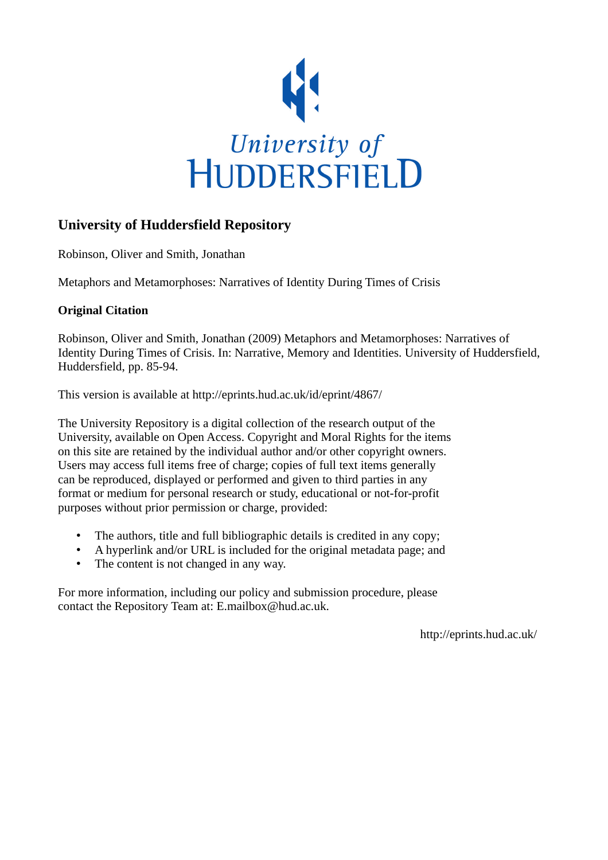

# **University of Huddersfield Repository**

Robinson, Oliver and Smith, Jonathan

Metaphors and Metamorphoses: Narratives of Identity During Times of Crisis

## **Original Citation**

Robinson, Oliver and Smith, Jonathan (2009) Metaphors and Metamorphoses: Narratives of Identity During Times of Crisis. In: Narrative, Memory and Identities. University of Huddersfield, Huddersfield, pp. 85-94.

This version is available at http://eprints.hud.ac.uk/id/eprint/4867/

The University Repository is a digital collection of the research output of the University, available on Open Access. Copyright and Moral Rights for the items on this site are retained by the individual author and/or other copyright owners. Users may access full items free of charge; copies of full text items generally can be reproduced, displayed or performed and given to third parties in any format or medium for personal research or study, educational or not-for-profit purposes without prior permission or charge, provided:

- The authors, title and full bibliographic details is credited in any copy;
- A hyperlink and/or URL is included for the original metadata page; and
- The content is not changed in any way.

For more information, including our policy and submission procedure, please contact the Repository Team at: E.mailbox@hud.ac.uk.

http://eprints.hud.ac.uk/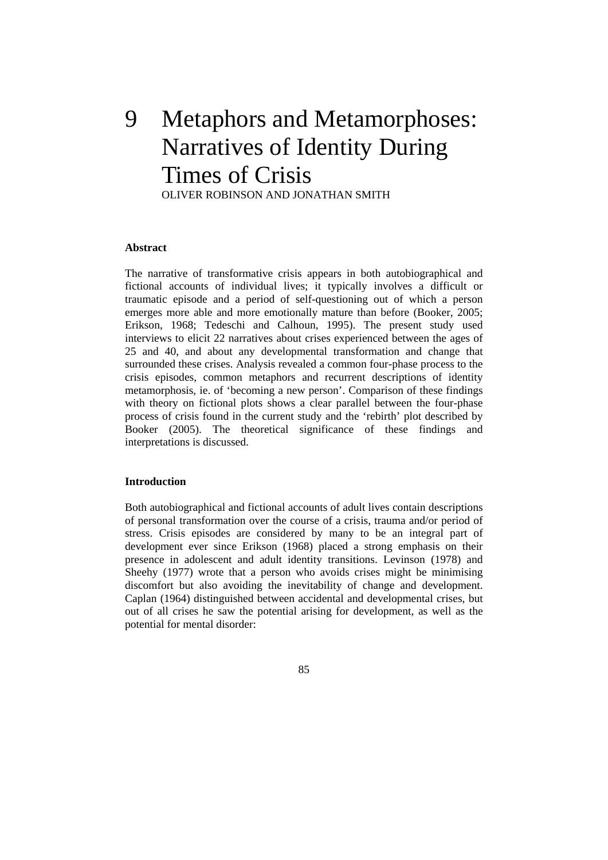# 9 Metaphors and Metamorphoses: Narratives of Identity During Times of Crisis

OLIVER ROBINSON AND JONATHAN SMITH

### **bstract A**

Booker (2005). The theoretical significance of these findings and interpretations is discussed. The narrative of transformative crisis appears in both autobiographical and fictional accounts of individual lives; it typically involves a difficult or traumatic episode and a period of self-questioning out of which a person emerges more able and more emotionally mature than before (Booker, 2005; Erikson, 1968; Tedeschi and Calhoun, 1995). The present study used interviews to elicit 22 narratives about crises experienced between the ages of 25 and 40, and about any developmental transformation and change that surrounded these crises. Analysis revealed a common four-phase process to the crisis episodes, common metaphors and recurrent descriptions of identity metamorphosis, ie. of 'becoming a new person'. Comparison of these findings with theory on fictional plots shows a clear parallel between the four-phase process of crisis found in the current study and the 'rebirth' plot described by

### **Introduction**

out of all crises he saw the potential arising for development, as well as the potential for mental disorder: Both autobiographical and fictional accounts of adult lives contain descriptions of personal transformation over the course of a crisis, trauma and/or period of stress. Crisis episodes are considered by many to be an integral part of development ever since Erikson (1968) placed a strong emphasis on their presence in adolescent and adult identity transitions. Levinson (1978) and Sheehy (1977) wrote that a person who avoids crises might be minimising discomfort but also avoiding the inevitability of change and development. Caplan (1964) distinguished between accidental and developmental crises, but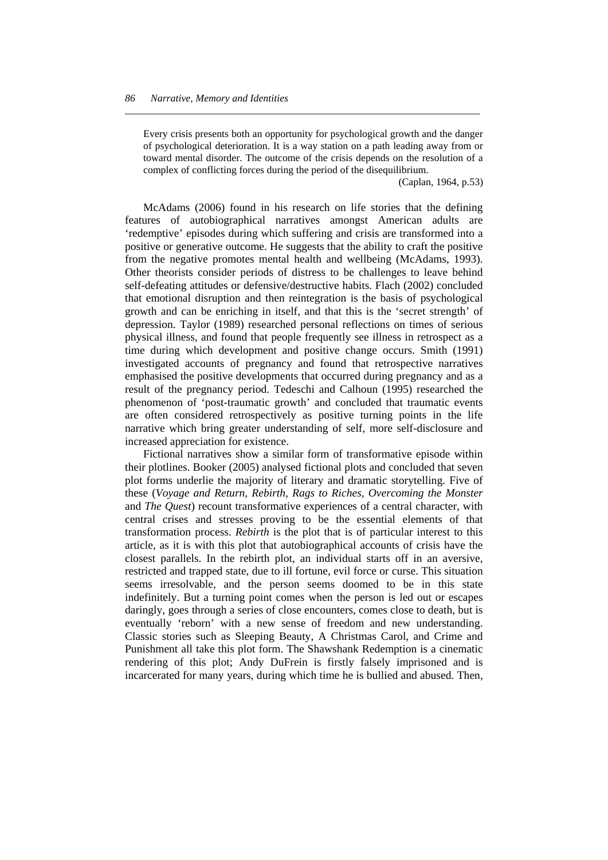of psychological deterioration. It is a way station on a path leading away from or toward mental disorder. The outcome of the crisis depends on the resolution of a complex of conflicting forces during the period of the disequilibrium. Every crisis presents both an opportunity for psychological growth and the danger

*\_\_\_\_\_\_\_\_\_\_\_\_\_\_\_\_\_\_\_\_\_\_\_\_\_\_\_\_\_\_\_\_\_\_\_\_\_\_\_\_\_\_\_\_\_\_\_\_\_\_\_\_\_\_\_\_\_\_\_\_\_\_\_\_\_\_\_\_\_* 

(Caplan, 1964, p.53)

are often considered retrospectively as positive turning points in the life McAdams (2006) found in his research on life stories that the defining features of autobiographical narratives amongst American adults are 'redemptive' episodes during which suffering and crisis are transformed into a positive or generative outcome. He suggests that the ability to craft the positive from the negative promotes mental health and wellbeing (McAdams, 1993). Other theorists consider periods of distress to be challenges to leave behind self-defeating attitudes or defensive/destructive habits. Flach (2002) concluded that emotional disruption and then reintegration is the basis of psychological growth and can be enriching in itself, and that this is the 'secret strength' of depression. Taylor (1989) researched personal reflections on times of serious physical illness, and found that people frequently see illness in retrospect as a time during which development and positive change occurs. Smith (1991) investigated accounts of pregnancy and found that retrospective narratives emphasised the positive developments that occurred during pregnancy and as a result of the pregnancy period. Tedeschi and Calhoun (1995) researched the phenomenon of 'post-traumatic growth' and concluded that traumatic events narrative which bring greater understanding of self, more self-disclosure and increased appreciation for existence.

 Fictional narratives show a similar form of transformative episode within their plotlines. Booker (2005) analysed fictional plots and concluded that seven plot forms underlie the majority of literary and dramatic storytelling. Five of these (*Voyage and Return, Rebirth, Rags to Riches, Overcoming the Monster* and *The Quest*) recount transformative experiences of a central character, with central crises and stresses proving to be the essential elements of that transformation process. *Rebirth* is the plot that is of particular interest to this article, as it is with this plot that autobiographical accounts of crisis have the closest parallels. In the rebirth plot, an individual starts off in an aversive, restricted and trapped state, due to ill fortune, evil force or curse. This situation seems irresolvable, and the person seems doomed to be in this state indefinitely. But a turning point comes when the person is led out or escapes daringly, goes through a series of close encounters, comes close to death, but is eventually 'reborn' with a new sense of freedom and new understanding. Classic stories such as Sleeping Beauty, A Christmas Carol, and Crime and Punishment all take this plot form. The Shawshank Redemption is a cinematic rendering of this plot; Andy DuFrein is firstly falsely imprisoned and is incarcerated for many years, during which time he is bullied and abused. Then,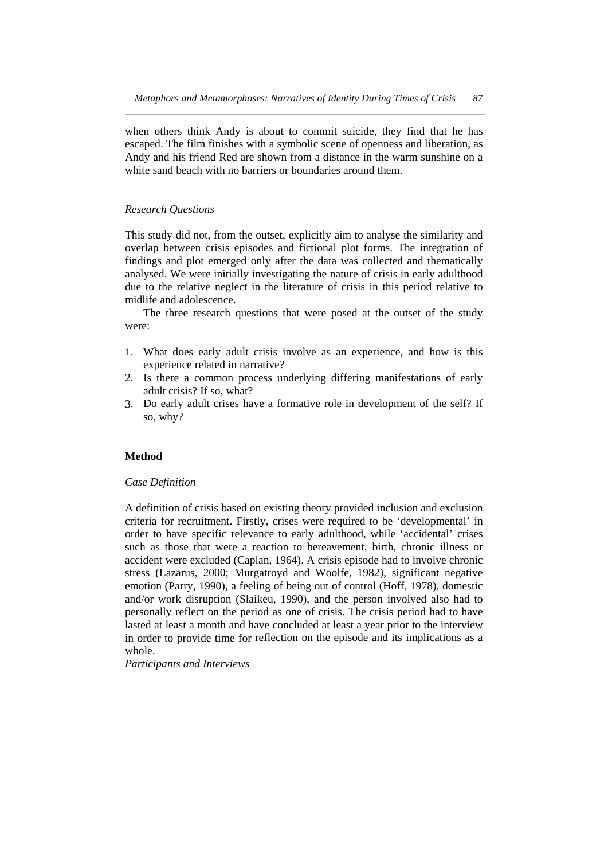when others think Andy is about to commit suicide, they find that he has escaped. The film finishes with a symbolic scene of openness and liberation, as Andy and his friend Red are shown from a distance in the warm sunshine on a white sand beach with no barriers or boundaries around them.

### *Research Questions*

analysed. We were initially investigating the nature of crisis in early adulthood midlife and adolescence. This study did not, from the outset, explicitly aim to analyse the similarity and overlap between crisis episodes and fictional plot forms. The integration of findings and plot emerged only after the data was collected and thematically due to the relative neglect in the literature of crisis in this period relative to

The three research questions that were posed at the outset of the study were:

- experience related in narrative? 1. What does early adult crisis involve as an experience, and how is this
- adult crisis? If so, what? 2. Is there a common process underlying differing manifestations of early
- . Do early adult crises have a formative role in development of the self? If 3 so, why?

### **Method**

### *Case Definition*

lasted at least a month and have concluded at least a year prior to the interview in order to provide time for reflection on the episode and its implications as a whole. A definition of crisis based on existing theory provided inclusion and exclusion criteria for recruitment. Firstly, crises were required to be 'developmental' in order to have specific relevance to early adulthood, while 'accidental' crises such as those that were a reaction to bereavement, birth, chronic illness or accident were excluded (Caplan, 1964). A crisis episode had to involve chronic stress (Lazarus, 2000; Murgatroyd and Woolfe, 1982), significant negative emotion (Parry, 1990), a feeling of being out of control (Hoff, 1978), domestic and/or work disruption (Slaikeu, 1990), and the person involved also had to personally reflect on the period as one of crisis. The crisis period had to have

*Participants and Interviews*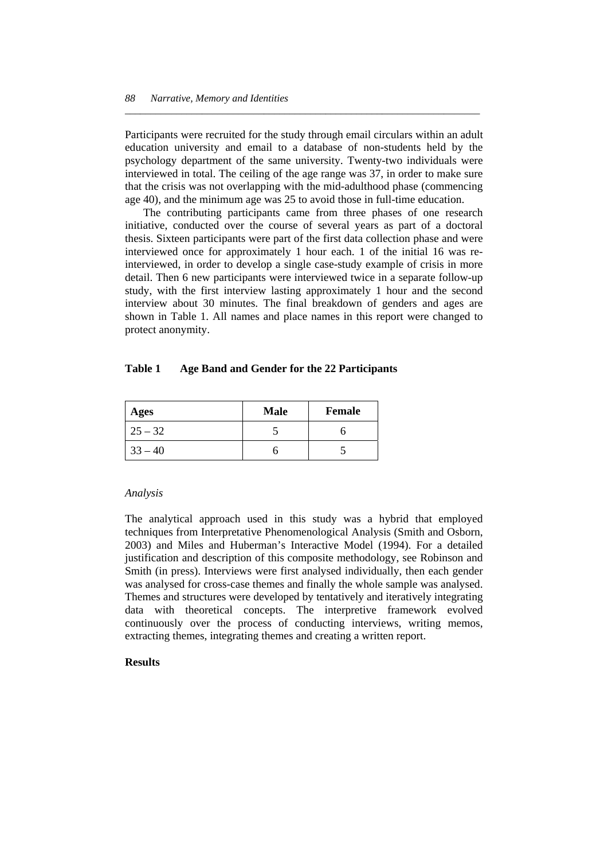interviewed in total. The ceiling of the age range was 37, in order to make sure that the crisis was not overlapping with the mid-adulthood phase (commencing Participants were recruited for the study through email circulars within an adult education university and email to a database of non-students held by the psychology department of the same university. Twenty-two individuals were age 40), and the minimum age was 25 to avoid those in full-time education.

*\_\_\_\_\_\_\_\_\_\_\_\_\_\_\_\_\_\_\_\_\_\_\_\_\_\_\_\_\_\_\_\_\_\_\_\_\_\_\_\_\_\_\_\_\_\_\_\_\_\_\_\_\_\_\_\_\_\_\_\_\_\_\_\_\_\_\_\_\_* 

interview about 30 minutes. The final breakdown of genders and ages are shown in Table 1. All names and place names in this report were changed to protect anonymity. The contributing participants came from three phases of one research initiative, conducted over the course of several years as part of a doctoral thesis. Sixteen participants were part of the first data collection phase and were interviewed once for approximately 1 hour each. 1 of the initial 16 was reinterviewed, in order to develop a single case-study example of crisis in more detail. Then 6 new participants were interviewed twice in a separate follow-up study, with the first interview lasting approximately 1 hour and the second

#### **able 1 Age Band and Gender for the 22 Participants Table 1**

| Ages      | <b>Male</b> | Female |
|-----------|-------------|--------|
| $25 - 32$ |             |        |
| $33 - 40$ |             |        |

### *Analysis*

The analytical approach used in this study was a hybrid that employed techniques from Interpretative Phenomenological Analysis (Smith and Osborn, 2003) and Miles and Huberman's Interactive Model (1994). For a detailed justification and description of this composite methodology, see Robinson and Smith (in press). Interviews were first analysed individually, then each gender was analysed for cross-case themes and finally the whole sample was analysed. Themes and structures were developed by tentatively and iteratively integrating data with theoretical concepts. The interpretive framework evolved continuously over the process of conducting interviews, writing memos, extracting themes, integrating themes and creating a written report.

### **Results**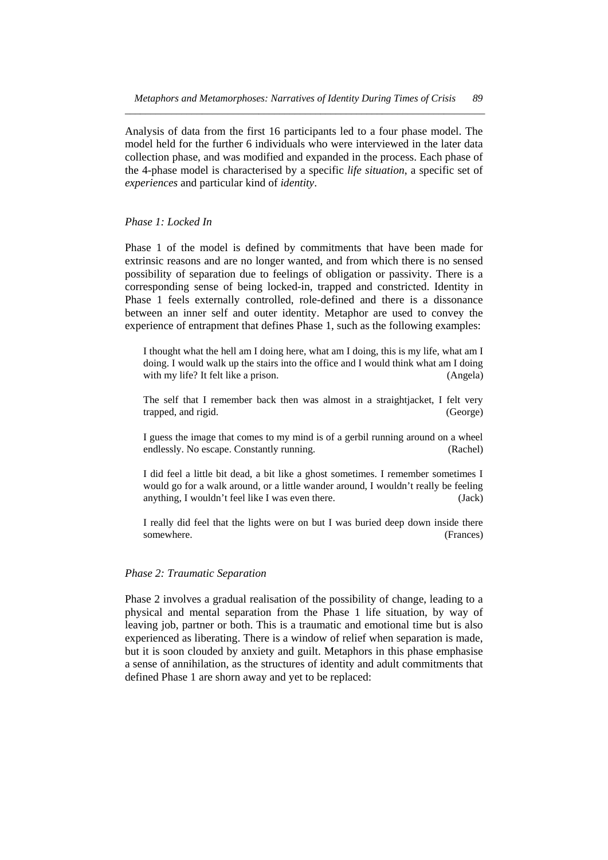collection phase, and was modified and expanded in the process. Each phase of the 4-phase model is characterised by a specific *life situation*, a specific set of *xperiences* and particular kind of *identity*. *e* Analysis of data from the first 16 participants led to a four phase model. The model held for the further 6 individuals who were interviewed in the later data

### *Phase 1: Locked In*

between an inner self and outer identity. Metaphor are used to convey the exp erience of entrapment that defines Phase 1, such as the following examples: Phase 1 of the model is defined by commitments that have been made for extrinsic reasons and are no longer wanted, and from which there is no sensed possibility of separation due to feelings of obligation or passivity. There is a corresponding sense of being locked-in, trapped and constricted. Identity in Phase 1 feels externally controlled, role-defined and there is a dissonance

I thought what the hell am I doing here, what am I doing, this is my life, what am I doing. I would walk up the stairs into the office and I would think what am I doing with my life? It felt like a prison. (Angela)

The self that I remember back then was almost in a straightjacket, I felt very trapped, and rigid. (George)

I guess the image that comes to my mind is of a gerbil running around on a wheel endlessly. No escape. Constantly running. (Rachel)

I did feel a little bit dead, a bit like a ghost sometimes. I remember sometimes I would go for a walk around, or a little wander around, I wouldn't really be feeling anything, I wouldn't feel like I was even there. (Jack)

I really did feel that the lights were on but I was buried deep down inside there somewhere. (Frances)

### *Phase 2: Traumatic Separation*

but it is soon clouded by anxiety and guilt. Metaphors in this phase emphasise a sense of annihilation, as the structures of identity and adult commitments that defined Phase 1 are shorn away and yet to be replaced: Phase 2 involves a gradual realisation of the possibility of change, leading to a physical and mental separation from the Phase 1 life situation, by way of leaving job, partner or both. This is a traumatic and emotional time but is also experienced as liberating. There is a window of relief when separation is made,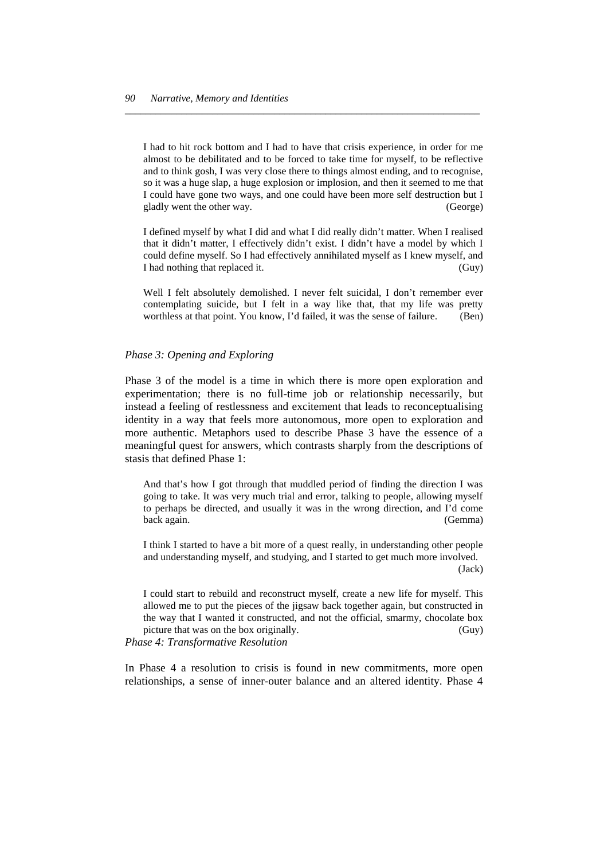I could have gone two ways, and one could have been more self destruction but I gladly went the other way. (George) I had to hit rock bottom and I had to have that crisis experience, in order for me almost to be debilitated and to be forced to take time for myself, to be reflective and to think gosh, I was very close there to things almost ending, and to recognise, so it was a huge slap, a huge explosion or implosion, and then it seemed to me that

*\_\_\_\_\_\_\_\_\_\_\_\_\_\_\_\_\_\_\_\_\_\_\_\_\_\_\_\_\_\_\_\_\_\_\_\_\_\_\_\_\_\_\_\_\_\_\_\_\_\_\_\_\_\_\_\_\_\_\_\_\_\_\_\_\_\_\_\_\_* 

could define myself. So I had effectively annihilated myself as I knew myself, and I had nothing that replaced it. (Guy) I defined myself by what I did and what I did really didn't matter. When I realised that it didn't matter, I effectively didn't exist. I didn't have a model by which I

contemplating suicide, but I felt in a way like that, that my life was pretty worthless at that point. You know, I'd failed, it was the sense of failure. (Ben) Well I felt absolutely demolished. I never felt suicidal, I don't remember ever

### Phase 3: Opening and Exploring

meaningful quest for answers, which contrasts sharply from the descriptions of stasis that defined Phase 1: Phase 3 of the model is a time in which there is more open exploration and experimentation; there is no full-time job or relationship necessarily, but instead a feeling of restlessness and excitement that leads to reconceptualising identity in a way that feels more autonomous, more open to exploration and more authentic. Metaphors used to describe Phase 3 have the essence of a

to perhaps be directed, and usually it was in the wrong direction, and I'd come back again. (Gemma) And that's how I got through that muddled period of finding the direction I was going to take. It was very much trial and error, talking to people, allowing myself

 (Jack) I think I started to have a bit more of a quest really, in understanding other people and understanding myself, and studying, and I started to get much more involved.

the way that I wanted it constructed, and not the official, smarmy, chocolate box  $(Guv)$ I could start to rebuild and reconstruct myself, create a new life for myself. This allowed me to put the pieces of the jigsaw back together again, but constructed in picture that was on the box originally

*Phase 4: Transformative Resolution* 

In Phase 4 a resolution to crisis is found in new commitments, more open relationships, a sense of inner-outer balance and an altered identity. Phase 4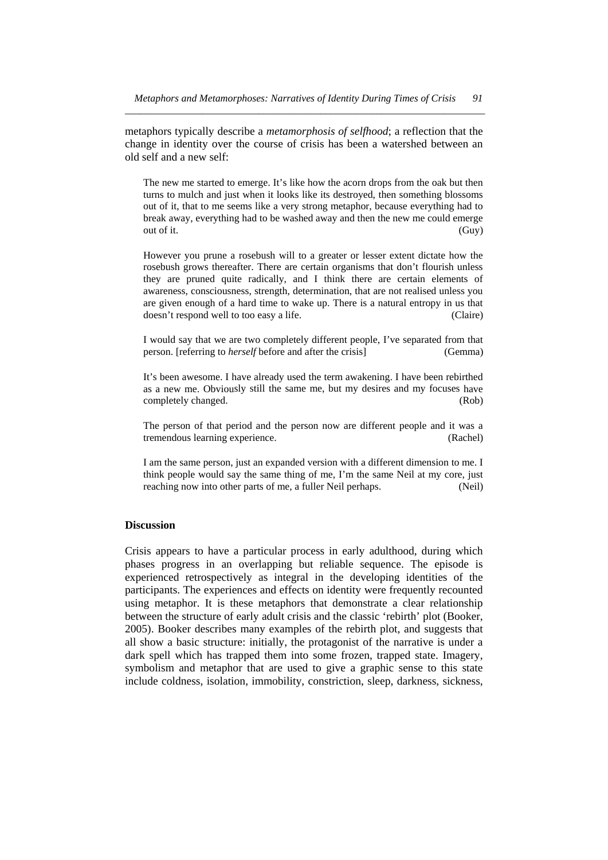change in identity over the course of crisis has been a watershed between an old self and a new self: metaphors typically describe a *metamorphosis of selfhood*; a reflection that the

break away, everything had to be washed away and then the new me could emerge out of it. (Guy) The new me started to emerge. It's like how the acorn drops from the oak but then turns to mulch and just when it looks like its destroyed, then something blossoms out of it, that to me seems like a very strong metaphor, because everything had to

are given enough of a hard time to wake up. There is a natural entropy in us that doesn't respond well to too easy a life. (Claire) However you prune a rosebush will to a greater or lesser extent dictate how the rosebush grows thereafter. There are certain organisms that don't flourish unless they are pruned quite radically, and I think there are certain elements of awareness, consciousness, strength, determination, that are not realised unless you

I would say that we are two completely different people, I've separated from that person. [referring to *herself* before and after the crisis] (Gemma)

as a new me. Obviously still the same me, but my desires and my focuses have completely changed. (Rob) It's been awesome. I have already used the term awakening. I have been rebirthed

The person of that period and the person now are different people and it was a tremendous learning experience. (Rachel)

think people would say the same thing of me, I'm the same Neil at my core, just reaching now into other parts of me, a fuller Neil perhaps. (Neil) I am the same person, just an expanded version with a different dimension to me. I

### **Discussion**

Crisis appears to have a particular process in early adulthood, during which phases progress in an overlapping but reliable sequence. The episode is experienced retrospectively as integral in the developing identities of the participants. The experiences and effects on identity were frequently recounted using metaphor. It is these metaphors that demonstrate a clear relationship between the structure of early adult crisis and the classic 'rebirth' plot (Booker, 2005). Booker describes many examples of the rebirth plot, and suggests that all show a basic structure: initially, the protagonist of the narrative is under a dark spell which has trapped them into some frozen, trapped state. Imagery, symbolism and metaphor that are used to give a graphic sense to this state include coldness, isolation, immobility, constriction, sleep, darkness, sickness,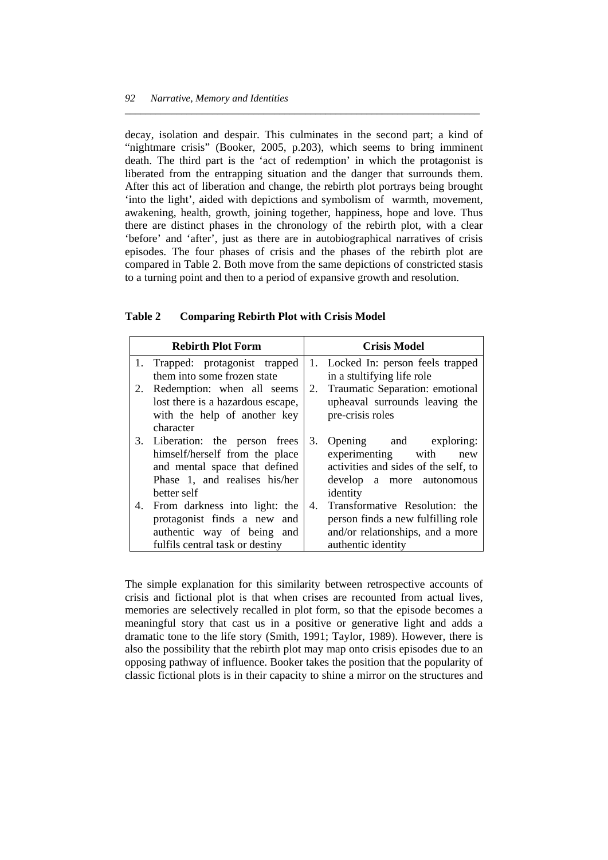compared in Table 2. Both move from the same depictions of constricted stasis to a turning point and then to a period of expansive growth and resolution. decay, isolation and despair. This culminates in the second part; a kind of "nightmare crisis" (Booker, 2005, p.203), which seems to bring imminent death. The third part is the 'act of redemption' in which the protagonist is liberated from the entrapping situation and the danger that surrounds them. After this act of liberation and change, the rebirth plot portrays being brought 'into the light', aided with depictions and symbolism of warmth, movement, awakening, health, growth, joining together, happiness, hope and love. Thus there are distinct phases in the chronology of the rebirth plot, with a clear 'before' and 'after', just as there are in autobiographical narratives of crisis episodes. The four phases of crisis and the phases of the rebirth plot are

*\_\_\_\_\_\_\_\_\_\_\_\_\_\_\_\_\_\_\_\_\_\_\_\_\_\_\_\_\_\_\_\_\_\_\_\_\_\_\_\_\_\_\_\_\_\_\_\_\_\_\_\_\_\_\_\_\_\_\_\_\_\_\_\_\_\_\_\_\_* 

| <b>Table 2</b> |  |  |  | <b>Comparing Rebirth Plot with Crisis Model</b> |
|----------------|--|--|--|-------------------------------------------------|
|----------------|--|--|--|-------------------------------------------------|

|    | <b>Rebirth Plot Form</b>          |    | <b>Crisis Model</b>                  |
|----|-----------------------------------|----|--------------------------------------|
| 1. | Trapped: protagonist trapped      |    | 1. Locked In: person feels trapped   |
|    | them into some frozen state       |    | in a stultifying life role           |
| 2. | Redemption: when all seems        |    | 2. Traumatic Separation: emotional   |
|    | lost there is a hazardous escape, |    | upheaval surrounds leaving the       |
|    | with the help of another key      |    | pre-crisis roles                     |
|    | character                         |    |                                      |
|    | 3. Liberation: the person frees   | 3. | Opening and exploring:               |
|    | himself/herself from the place    |    | experimenting with<br>new            |
|    | and mental space that defined     |    | activities and sides of the self, to |
|    | Phase 1, and realises his/her     |    | develop a more autonomous            |
|    | better self                       |    | identity                             |
| 4. | From darkness into light: the     | 4. | Transformative Resolution: the       |
|    | protagonist finds a new and       |    | person finds a new fulfilling role   |
|    | authentic way of being and        |    | and/or relationships, and a more     |
|    | fulfils central task or destiny   |    | authentic identity                   |

The simple explanation for this similarity between retrospective accounts of crisis and fictional plot is that when crises are recounted from actual lives, memories are selectively recalled in plot form, so that the episode becomes a meaningful story that cast us in a positive or generative light and adds a dramatic tone to the life story (Smith, 1991; Taylor, 1989). However, there is also the possibility that the rebirth plot may map onto crisis episodes due to an opposing pathway of influence. Booker takes the position that the popularity of classic fictional plots is in their capacity to shine a mirror on the structures and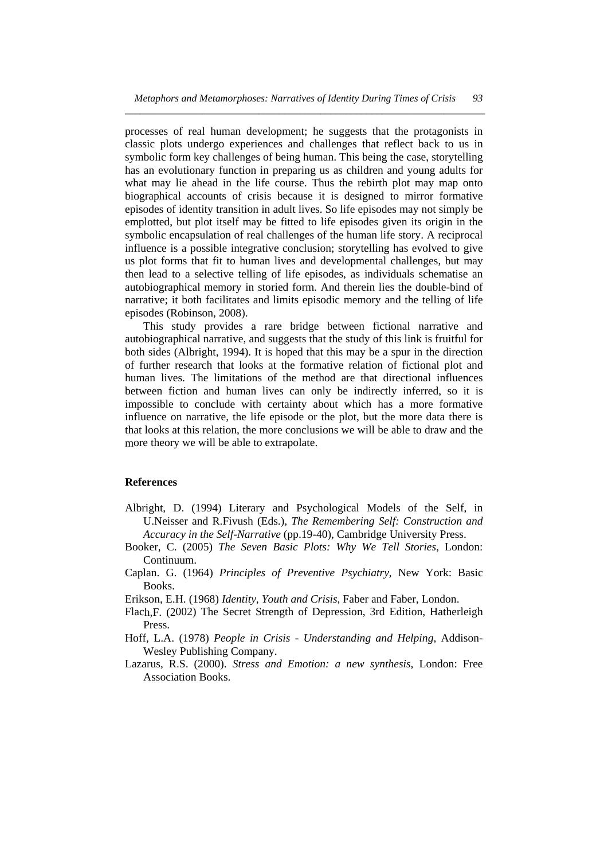narrative; it both facilitates and limits episodic memory and the telling of life processes of real human development; he suggests that the protagonists in classic plots undergo experiences and challenges that reflect back to us in symbolic form key challenges of being human. This being the case, storytelling has an evolutionary function in preparing us as children and young adults for what may lie ahead in the life course. Thus the rebirth plot may map onto biographical accounts of crisis because it is designed to mirror formative episodes of identity transition in adult lives. So life episodes may not simply be emplotted, but plot itself may be fitted to life episodes given its origin in the symbolic encapsulation of real challenges of the human life story. A reciprocal influence is a possible integrative conclusion; storytelling has evolved to give us plot forms that fit to human lives and developmental challenges, but may then lead to a selective telling of life episodes, as individuals schematise an autobiographical memory in storied form. And therein lies the double-bind of episodes (Robinson, 2008).

that looks at this relation, the more conclusions we will be able to draw and the more theory we will be able to extrapolate. This study provides a rare bridge between fictional narrative and autobiographical narrative, and suggests that the study of this link is fruitful for both sides (Albright, 1994). It is hoped that this may be a spur in the direction of further research that looks at the formative relation of fictional plot and human lives. The limitations of the method are that directional influences between fiction and human lives can only be indirectly inferred, so it is impossible to conclude with certainty about which has a more formative influence on narrative, the life episode or the plot, but the more data there is

### **eferences R**

- Alb right, D. (1994) Literary and Psychological Models of the Self, in U.Neisser and R.Fivush (Eds.), *The Remembering Self: Construction and Accuracy in the Self-Narrative* (pp.19-40), Cambridge University Press.
- Booker, C. (2005) *The Seven Basic Plots: Why We Tell Stories*, London: Continuum.
- Caplan. G. (1964) *Principles of Preventive Psychiatry*, New York: Basic Books.

Erikson, E.H. (1968) *Identity, Youth and Crisis*, Faber and Faber, London.

- Flach, F. (2002) The Secret Strength of Depression, 3rd Edition, Hatherleigh Press.
- Hoff, L.A. (1978) People in Crisis Understanding and Helping, Addison-Wesley Publishing Company.
- Lazarus, R.S. (2000). *Stress and Emotion: a new synthesis*, London: Free Association Books.